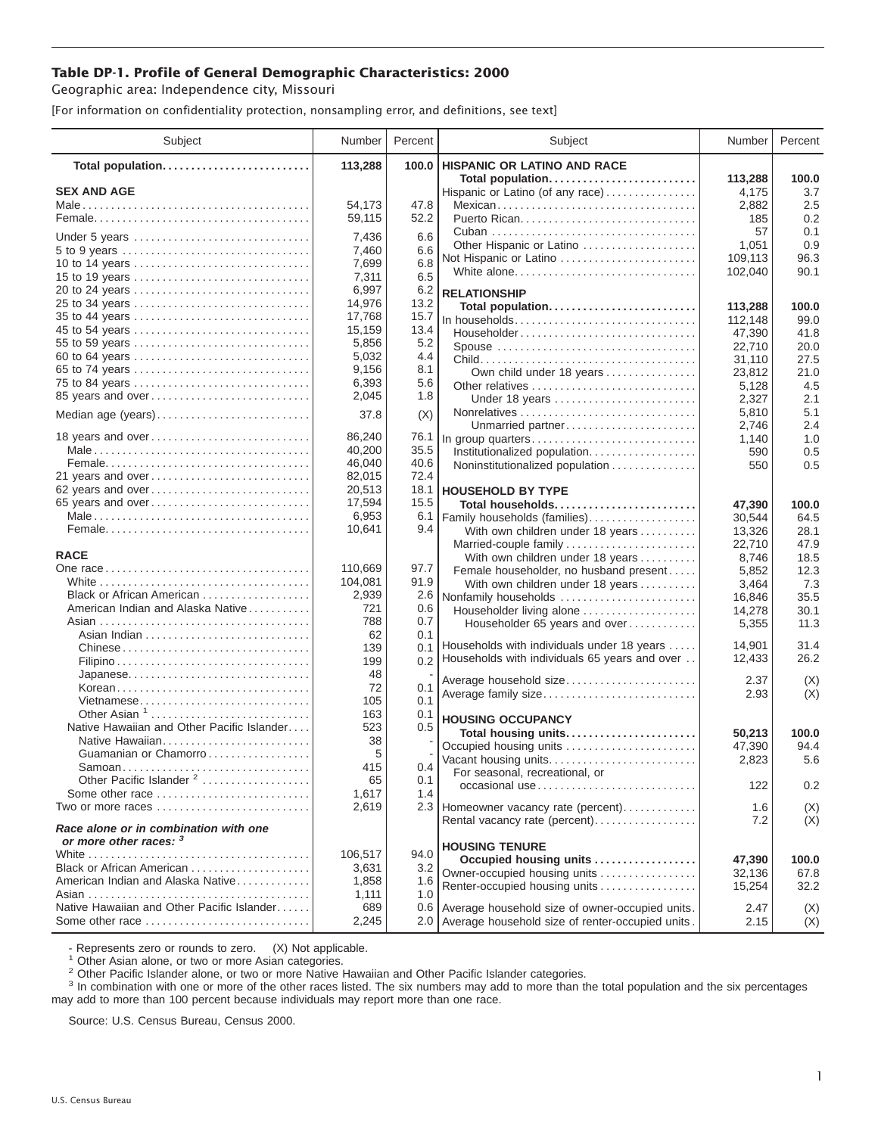## **Table DP-1. Profile of General Demographic Characteristics: 2000**

Geographic area: Independence city, Missouri

[For information on confidentiality protection, nonsampling error, and definitions, see text]

| Subject                                                         | Number  | Percent | Subject                                             | Number             | Percent     |
|-----------------------------------------------------------------|---------|---------|-----------------------------------------------------|--------------------|-------------|
| Total population                                                | 113,288 | 100.0   | <b>HISPANIC OR LATINO AND RACE</b>                  |                    |             |
|                                                                 |         |         | Total population                                    | 113,288            | 100.0       |
| <b>SEX AND AGE</b>                                              |         |         | Hispanic or Latino (of any race)                    | 4,175              | 3.7         |
|                                                                 | 54,173  | 47.8    | Mexican                                             | 2,882              | 2.5         |
|                                                                 | 59,115  | 52.2    |                                                     | 185                | 0.2         |
| Under 5 years                                                   | 7,436   | 6.6     |                                                     | 57                 | 0.1         |
| 5 to 9 years                                                    | 7,460   | 6.6     | Other Hispanic or Latino                            | 1,051              | 0.9<br>96.3 |
| 10 to 14 years                                                  | 7,699   | 6.8     | Not Hispanic or Latino<br>White alone               | 109,113<br>102,040 | 90.1        |
|                                                                 | 7,311   | 6.5     |                                                     |                    |             |
| 20 to 24 years                                                  | 6,997   | 6.2     | <b>RELATIONSHIP</b>                                 |                    |             |
| 25 to 34 years                                                  | 14,976  | 13.2    | Total population                                    | 113,288            | 100.0       |
| 35 to 44 years                                                  | 17,768  | 15.7    | In households                                       | 112,148            | 99.0        |
| 45 to 54 years                                                  | 15.159  | 13.4    | Householder                                         | 47,390             | 41.8        |
| 55 to 59 years                                                  | 5,856   | 5.2     | Spouse                                              | 22,710             | 20.0        |
| 60 to 64 years                                                  | 5,032   | 4.4     |                                                     | 31,110             | 27.5        |
| 65 to 74 years                                                  | 9,156   | 8.1     | Own child under 18 years                            | 23,812             | 21.0        |
| 75 to 84 years                                                  | 6,393   | 5.6     | Other relatives                                     | 5,128              | 4.5         |
| 85 years and over                                               | 2,045   | 1.8     | Under 18 years                                      | 2,327              | 2.1         |
| Median age (years)                                              | 37.8    | (X)     |                                                     | 5,810              | 5.1         |
|                                                                 |         |         | Unmarried partner                                   | 2,746              | 2.4         |
| 18 years and over                                               | 86,240  | 76.1    | In group quarters                                   | 1,140              | 1.0         |
|                                                                 | 40,200  | 35.5    | Institutionalized population                        | 590                | 0.5         |
|                                                                 | 46,040  | 40.6    | Noninstitutionalized population                     | 550                | 0.5         |
| 21 years and over                                               | 82,015  | 72.4    |                                                     |                    |             |
| 62 years and over                                               | 20,513  | 18.1    | <b>HOUSEHOLD BY TYPE</b>                            |                    |             |
| 65 years and over                                               | 17,594  | 15.5    | Total households                                    | 47,390             | 100.0       |
|                                                                 | 6,953   | 6.1     | Family households (families)                        | 30,544             | 64.5        |
|                                                                 | 10,641  | 9.4     | With own children under 18 years                    | 13,326             | 28.1        |
|                                                                 |         |         | Married-couple family                               | 22,710             | 47.9        |
| <b>RACE</b>                                                     |         |         | With own children under 18 years                    | 8,746              | 18.5        |
|                                                                 | 110,669 | 97.7    | Female householder, no husband present              | 5,852              | 12.3        |
|                                                                 | 104,081 | 91.9    | With own children under 18 years                    | 3,464              | 7.3         |
| Black or African American                                       | 2,939   | 2.6     | Nonfamily households                                | 16,846             | 35.5        |
| American Indian and Alaska Native                               | 721     | 0.6     | Householder living alone                            | 14,278             | 30.1        |
|                                                                 | 788     | 0.7     | Householder 65 years and over                       | 5,355              | 11.3        |
|                                                                 | 62      | 0.1     |                                                     |                    |             |
|                                                                 | 139     | 0.1     | Households with individuals under 18 years          | 14,901             | 31.4        |
|                                                                 | 199     | 0.2     | Households with individuals 65 years and over       | 12,433             | 26.2        |
| Japanese                                                        | 48      |         | Average household size                              | 2.37               | (X)         |
| Korean                                                          | 72      | 0.1     | Average family size                                 | 2.93               | (X)         |
| Vietnamese                                                      | 105     | 0.1     |                                                     |                    |             |
| Other Asian <sup>1</sup>                                        | 163     | 0.1     | <b>HOUSING OCCUPANCY</b>                            |                    |             |
| Native Hawaiian and Other Pacific Islander                      | 523     | 0.5     | Total housing units                                 | 50,213             | 100.0       |
| Native Hawaiian                                                 | 38      |         | Occupied housing units                              | 47,390             | 94.4        |
| Guamanian or Chamorro                                           | 5       |         | Vacant housing units                                | 2,823              | 5.6         |
| Samoan                                                          | 415     | 0.4     | For seasonal, recreational, or                      |                    |             |
| Other Pacific Islander <sup>2</sup>                             | 65      | 0.1     | occasional use                                      | 122                | 0.2         |
| Some other race                                                 | 1,617   | 1.4     |                                                     |                    |             |
| Two or more races                                               | 2,619   |         | 2.3 Homeowner vacancy rate (percent)                | 1.6                | (X)         |
| Race alone or in combination with one<br>or more other races: 3 |         |         | Rental vacancy rate (percent)                       | 7.2                | (X)         |
|                                                                 | 106.517 | 94.0    | <b>HOUSING TENURE</b>                               |                    |             |
| Black or African American                                       | 3,631   | 3.2     | Occupied housing units                              | 47,390             | 100.0       |
| American Indian and Alaska Native                               | 1,858   | 1.6     | Owner-occupied housing units                        | 32,136             | 67.8        |
|                                                                 | 1,111   | 1.0     | Renter-occupied housing units                       | 15,254             | 32.2        |
| Native Hawaiian and Other Pacific Islander                      | 689     |         | 0.6 Average household size of owner-occupied units. |                    |             |
|                                                                 |         |         | Average household size of renter-occupied units.    | 2.47               | (X)         |
| Some other race                                                 | 2,245   | 2.0     |                                                     | 2.15               | (X)         |

- Represents zero or rounds to zero. (X) Not applicable.<br><sup>1</sup> Other Asian alone, or two or more Asian categories.

<sup>2</sup> Other Pacific Islander alone, or two or more Native Hawaiian and Other Pacific Islander categories.<br><sup>3</sup> In combination with one or more of the other races listed. The six numbers may add to more than the total populati may add to more than 100 percent because individuals may report more than one race.

Source: U.S. Census Bureau, Census 2000.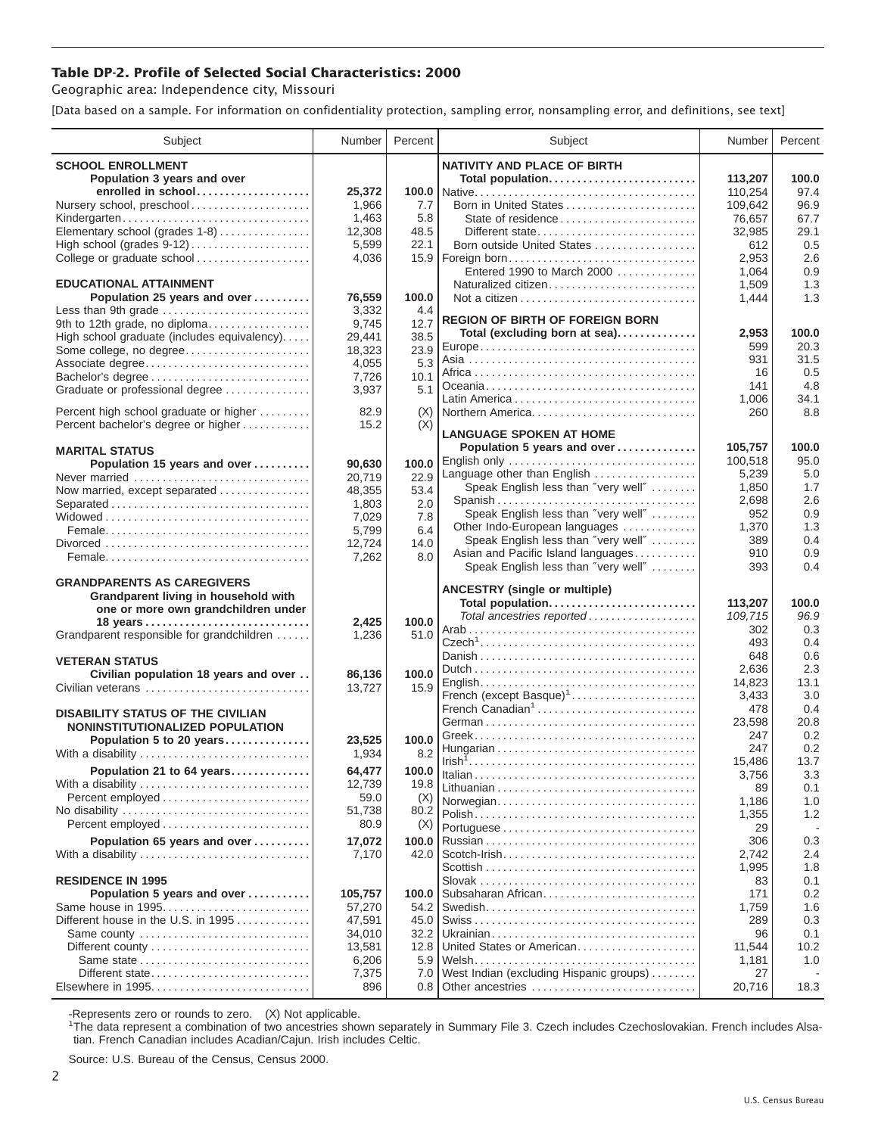## **Table DP-2. Profile of Selected Social Characteristics: 2000**

Geographic area: Independence city, Missouri

[Data based on a sample. For information on confidentiality protection, sampling error, nonsampling error, and definitions, see text]

| Subject                                     | Number  | Percent | Subject                                 | Number     | Percent    |
|---------------------------------------------|---------|---------|-----------------------------------------|------------|------------|
| <b>SCHOOL ENROLLMENT</b>                    |         |         | <b>NATIVITY AND PLACE OF BIRTH</b>      |            |            |
| Population 3 years and over                 |         |         | Total population                        | 113,207    | 100.0      |
| enrolled in school                          | 25,372  |         |                                         | 110,254    | 97.4       |
| Nursery school, preschool                   | 1,966   | 7.7     | Born in United States                   | 109,642    | 96.9       |
| Kindergarten                                | 1,463   | 5.8     | State of residence                      | 76,657     | 67.7       |
| Elementary school (grades 1-8)              | 12,308  | 48.5    | Different state                         | 32,985     | 29.1       |
|                                             | 5,599   | 22.1    | Born outside United States              | 612        | 0.5        |
| College or graduate school                  | 4,036   | 15.9    | Foreign born                            | 2,953      | 2.6        |
|                                             |         |         | Entered 1990 to March 2000              | 1,064      | 0.9        |
| <b>EDUCATIONAL ATTAINMENT</b>               |         |         | Naturalized citizen                     | 1,509      | 1.3        |
| Population 25 years and over                | 76,559  | 100.0   |                                         | 1,444      | 1.3        |
| Less than 9th grade                         | 3,332   | 4.4     |                                         |            |            |
| 9th to 12th grade, no diploma               | 9,745   | 12.7    | <b>REGION OF BIRTH OF FOREIGN BORN</b>  |            |            |
| High school graduate (includes equivalency) | 29,441  | 38.5    | Total (excluding born at sea)           | 2,953      | 100.0      |
| Some college, no degree                     | 18,323  | 23.9    |                                         | 599        | 20.3       |
| Associate degree                            | 4,055   | 5.3     |                                         | 931        | 31.5       |
| Bachelor's degree                           | 7,726   | 10.1    |                                         | 16         | 0.5        |
| Graduate or professional degree             | 3,937   | 5.1     |                                         | 141        | 4.8        |
|                                             |         |         |                                         | 1,006      | 34.1       |
| Percent high school graduate or higher      | 82.9    | (X)     | Northern America                        | 260        | 8.8        |
| Percent bachelor's degree or higher         | 15.2    | (X)     | <b>LANGUAGE SPOKEN AT HOME</b>          |            |            |
| <b>MARITAL STATUS</b>                       |         |         | Population 5 years and over             | 105,757    | 100.0      |
| Population 15 years and over                | 90,630  | 100.0   | English only                            | 100.518    | 95.0       |
| Never married                               | 20.719  | 22.9    | Language other than English             | 5,239      | 5.0        |
| Now married, except separated               | 48,355  | 53.4    | Speak English less than "very well"     | 1,850      | 1.7        |
| Separated                                   | 1,803   | 2.0     | Spanish                                 | 2,698      | 2.6        |
|                                             | 7,029   | 7.8     | Speak English less than "very well"     | 952        | 0.9        |
|                                             | 5,799   | 6.4     | Other Indo-European languages           | 1,370      | 1.3        |
|                                             | 12,724  | 14.0    | Speak English less than "very well"     | 389        | 0.4        |
|                                             | 7,262   | 8.0     | Asian and Pacific Island languages      | 910        | 0.9        |
|                                             |         |         | Speak English less than "very well"     | 393        | 0.4        |
| <b>GRANDPARENTS AS CAREGIVERS</b>           |         |         |                                         |            |            |
| Grandparent living in household with        |         |         | <b>ANCESTRY (single or multiple)</b>    |            |            |
| one or more own grandchildren under         |         |         | Total population                        | 113,207    | 100.0      |
|                                             | 2,425   | 100.0   | Total ancestries reported               | 109,715    | 96.9       |
| Grandparent responsible for grandchildren   | 1,236   | 51.0    |                                         | 302        | 0.3        |
|                                             |         |         |                                         | 493<br>648 | 0.4<br>0.6 |
| <b>VETERAN STATUS</b>                       |         |         |                                         | 2,636      | 2.3        |
| Civilian population 18 years and over       | 86,136  | 100.0   |                                         | 14,823     | 13.1       |
| Civilian veterans                           | 13,727  | 15.9    | French (except Basque) <sup>1</sup>     | 3,433      | 3.0        |
|                                             |         |         | French Canadian <sup>1</sup>            | 478        | 0.4        |
| <b>DISABILITY STATUS OF THE CIVILIAN</b>    |         |         |                                         | 23,598     | 20.8       |
| NONINSTITUTIONALIZED POPULATION             |         |         |                                         | 247        | 0.2        |
| Population 5 to 20 years                    | 23,525  | 100.0   |                                         | 247        | 0.2        |
| With a disability                           | 1,934   | 8.2     |                                         | 15,486     | 13.7       |
| Population 21 to 64 years                   | 64,477  | 100.0   |                                         | 3,756      | 3.3        |
| With a disability                           | 12,739  | 19.8    |                                         | 89         | 0.1        |
| Percent employed                            | 59.0    | (X)     | Norwegian                               | 1,186      | 1.0        |
| No disability                               | 51,738  | 80.2    |                                         | 1,355      | 1.2        |
| Percent employed                            | 80.9    | (X)     |                                         | 29         |            |
| Population 65 years and over                | 17,072  | 100.0   |                                         | 306        | 0.3        |
| With a disability                           | 7,170   | 42.0    |                                         | 2,742      | 2.4        |
|                                             |         |         |                                         | 1,995      | 1.8        |
| <b>RESIDENCE IN 1995</b>                    |         |         |                                         | 83         | 0.1        |
| Population 5 years and over                 | 105,757 | 100.0   | Subsaharan African                      | 171        | 0.2        |
| Same house in 1995                          | 57,270  | 54.2    |                                         | 1,759      | 1.6        |
| Different house in the U.S. in 1995         | 47,591  | 45.0    |                                         | 289        | 0.3        |
| Same county                                 | 34,010  | 32.2    |                                         | 96         | 0.1        |
| Different county                            | 13,581  | 12.8    | United States or American               | 11,544     | 10.2       |
|                                             | 6,206   | 5.9     |                                         | 1,181      | 1.0        |
| Different state                             | 7,375   | 7.0     | West Indian (excluding Hispanic groups) | 27         |            |
| Elsewhere in 1995                           | 896     | 0.8     | Other ancestries                        | 20,716     | 18.3       |

-Represents zero or rounds to zero. (X) Not applicable. 1 The data represent a combination of two ancestries shown separately in Summary File 3. Czech includes Czechoslovakian. French includes Alsatian. French Canadian includes Acadian/Cajun. Irish includes Celtic.

Source: U.S. Bureau of the Census, Census 2000.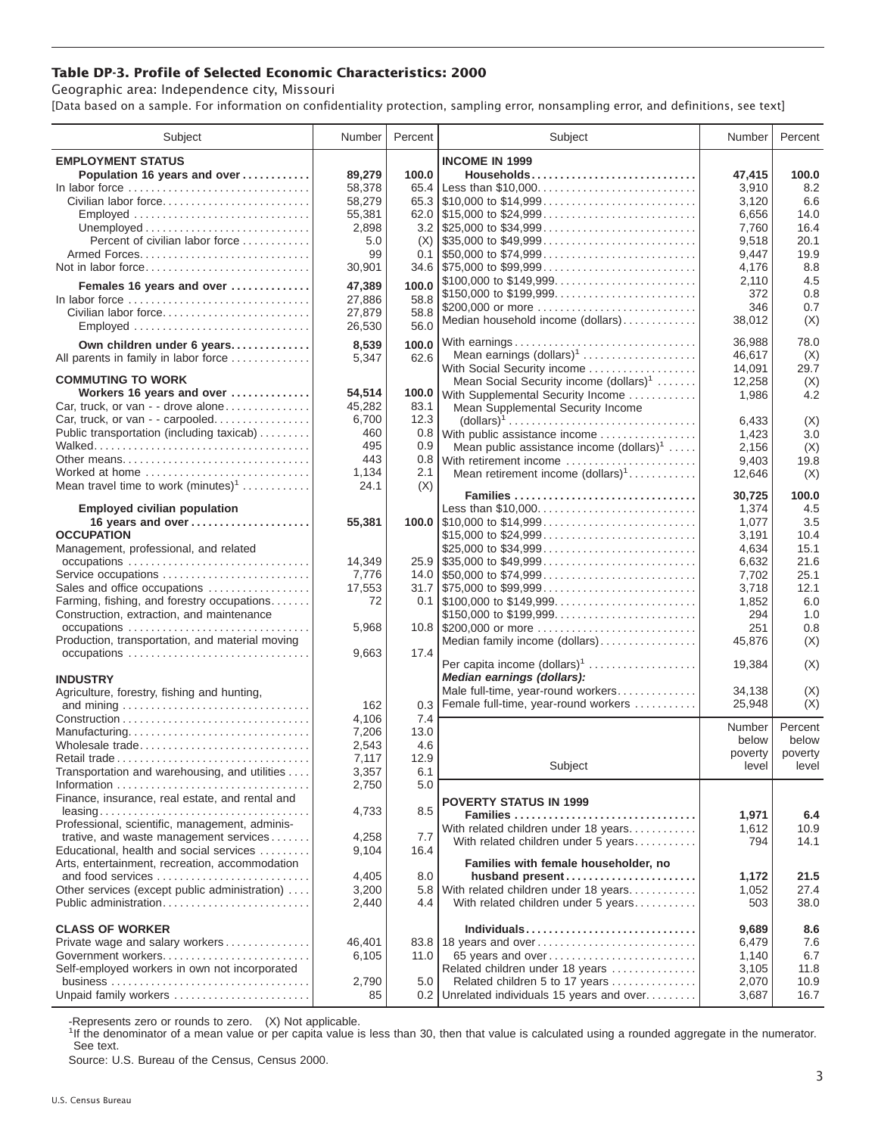## **Table DP-3. Profile of Selected Economic Characteristics: 2000**

Geographic area: Independence city, Missouri

[Data based on a sample. For information on confidentiality protection, sampling error, nonsampling error, and definitions, see text]

| Subject                                                                            | Number | Percent | Subject                                                                                | Number          | Percent    |
|------------------------------------------------------------------------------------|--------|---------|----------------------------------------------------------------------------------------|-----------------|------------|
| <b>EMPLOYMENT STATUS</b>                                                           |        |         | <b>INCOME IN 1999</b>                                                                  |                 |            |
| Population 16 years and over                                                       | 89,279 | 100.0   | Households                                                                             | 47,415          | 100.0      |
| In labor force $\dots\dots\dots\dots\dots\dots\dots\dots\dots\dots\dots\dots\dots$ | 58,378 | 65.4    | Less than \$10,000                                                                     | 3,910           | 8.2        |
| Civilian labor force                                                               | 58.279 |         |                                                                                        | 3.120           | 6.6        |
| Employed                                                                           | 55,381 |         |                                                                                        | 6,656           | 14.0       |
|                                                                                    | 2,898  |         |                                                                                        | 7,760           | 16.4       |
| Percent of civilian labor force                                                    | 5.0    |         |                                                                                        | 9,518           | 20.1       |
|                                                                                    | 99     | 0.1     | $\frac{1}{2}$ \$50,000 to \$74,999                                                     | 9,447           | 19.9       |
| Not in labor force                                                                 | 30,901 |         | $34.6$ \\$75,000 to \$99,999                                                           | 4,176           | 8.8        |
|                                                                                    |        |         | \$100,000 to \$149,999                                                                 | 2,110           | 4.5        |
| Females 16 years and over                                                          | 47,389 | 100.0   | \$150,000 to \$199,999                                                                 | 372             | 0.8        |
| In labor force                                                                     | 27,886 | 58.8    | \$200,000 or more                                                                      | 346             | 0.7        |
| Civilian labor force                                                               | 27,879 | 58.8    | Median household income (dollars)                                                      | 38,012          | (X)        |
|                                                                                    | 26,530 | 56.0    |                                                                                        |                 |            |
| Own children under 6 years                                                         | 8,539  | 100.0   |                                                                                        | 36,988          | 78.0       |
| All parents in family in labor force                                               | 5,347  | 62.6    | Mean earnings $(dollars)1$                                                             | 46,617          | (X)        |
|                                                                                    |        |         | With Social Security income                                                            | 14,091          | 29.7       |
| <b>COMMUTING TO WORK</b>                                                           |        |         | Mean Social Security income $(dollars)^1$                                              | 12,258          | (X)        |
| Workers 16 years and over                                                          | 54,514 | 100.0   | With Supplemental Security Income                                                      | 1,986           | 4.2        |
| Car, truck, or van - - drove alone                                                 | 45,282 | 83.1    | Mean Supplemental Security Income                                                      |                 |            |
| Car, truck, or van - - carpooled                                                   | 6,700  | 12.3    | $\text{(dollars)}^1 \dots \dots \dots \dots \dots \dots \dots \dots \dots \dots \dots$ | 6,433           | (X)        |
| Public transportation (including taxicab)                                          | 460    | 0.8     | With public assistance income                                                          | 1,423           | 3.0        |
|                                                                                    | 495    | 0.9     | Mean public assistance income $(dollars)1$                                             | 2,156           | (X)        |
| Other means                                                                        | 443    | 0.8     | With retirement income                                                                 | 9,403           | 19.8       |
| Worked at home                                                                     | 1,134  | 2.1     | Mean retirement income $(dollars)1$                                                    | 12,646          | (X)        |
| Mean travel time to work $(minutes)^1$                                             | 24.1   | (X)     | Families                                                                               | 30,725          | 100.0      |
| <b>Employed civilian population</b>                                                |        |         | Less than \$10,000                                                                     | 1,374           | 4.5        |
| 16 years and over                                                                  | 55,381 |         |                                                                                        | 1,077           | 3.5        |
| <b>OCCUPATION</b>                                                                  |        |         | \$15,000 to \$24,999                                                                   | 3,191           | 10.4       |
| Management, professional, and related                                              |        |         | \$25,000 to \$34,999                                                                   | 4,634           | 15.1       |
|                                                                                    | 14,349 |         |                                                                                        | 6,632           | 21.6       |
| Service occupations                                                                | 7,776  |         |                                                                                        | 7,702           | 25.1       |
| Sales and office occupations                                                       | 17,553 |         | $31.7$ \\ \$75,000 to \$99,999                                                         | 3,718           | 12.1       |
| Farming, fishing, and forestry occupations                                         | 72     |         |                                                                                        | 1,852           | 6.0        |
| Construction, extraction, and maintenance                                          |        |         | \$150,000 to \$199,999                                                                 | 294             | 1.0        |
| occupations                                                                        | 5,968  |         |                                                                                        | 251             | 0.8        |
| Production, transportation, and material moving                                    |        |         | Median family income (dollars)                                                         | 45,876          | (X)        |
|                                                                                    | 9,663  | 17.4    |                                                                                        |                 |            |
|                                                                                    |        |         | Per capita income $(dollars)1$                                                         | 19,384          | (X)        |
| <b>INDUSTRY</b>                                                                    |        |         | Median earnings (dollars):                                                             |                 |            |
| Agriculture, forestry, fishing and hunting,                                        |        |         | Male full-time, year-round workers                                                     | 34,138          | (X)        |
|                                                                                    | 162    | 0.3     | Female full-time, year-round workers                                                   | 25,948          | (X)        |
|                                                                                    | 4,106  | 7.4     |                                                                                        |                 | Percent    |
| Manufacturing                                                                      | 7,206  | 13.0    |                                                                                        | Number<br>below | below      |
| Wholesale trade                                                                    | 2,543  | 4.6     |                                                                                        | poverty         | poverty    |
| Retail trade                                                                       | 7,117  | 12.9    | Subject                                                                                | level           | level      |
| Transportation and warehousing, and utilities                                      | 3,357  | 6.1     |                                                                                        |                 |            |
|                                                                                    | 2,750  | 5.0     |                                                                                        |                 |            |
| Finance, insurance, real estate, and rental and                                    |        |         | <b>POVERTY STATUS IN 1999</b>                                                          |                 |            |
| $leasing \ldots \ldots \ldots \ldots \ldots \ldots \ldots \ldots \ldots \ldots$    | 4,733  | 8.5     | Families                                                                               | 1,971           | 6.4        |
| Professional, scientific, management, adminis-                                     |        |         | With related children under 18 years                                                   | 1,612           | 10.9       |
| trative, and waste management services                                             | 4,258  | 7.7     | With related children under 5 years                                                    | 794             | 14.1       |
| Educational, health and social services                                            | 9,104  | 16.4    |                                                                                        |                 |            |
| Arts, entertainment, recreation, accommodation                                     |        |         | Families with female householder, no                                                   |                 |            |
| and food services                                                                  | 4,405  | 8.0     | husband present                                                                        | 1,172           | 21.5       |
| Other services (except public administration)                                      | 3,200  | 5.8     | With related children under 18 years                                                   | 1,052           | 27.4       |
| Public administration                                                              | 2,440  | 4.4     | With related children under 5 years                                                    | 503             | 38.0       |
|                                                                                    |        |         |                                                                                        |                 |            |
| <b>CLASS OF WORKER</b>                                                             |        |         | Individuals                                                                            | 9,689           | 8.6        |
| Private wage and salary workers                                                    | 46,401 | 83.8    | 18 years and over                                                                      | 6,479           | 7.6<br>6.7 |
| Government workers<br>Self-employed workers in own not incorporated                | 6,105  | 11.0    | 65 years and over                                                                      | 1,140           | 11.8       |
|                                                                                    | 2,790  | 5.0     | Related children under 18 years<br>Related children 5 to 17 years                      | 3,105           | 10.9       |
| Unpaid family workers                                                              | 85     |         | 0.2 Unrelated individuals 15 years and over                                            | 2,070<br>3,687  | 16.7       |
|                                                                                    |        |         |                                                                                        |                 |            |

-Represents zero or rounds to zero. (X) Not applicable.

<sup>1</sup>If the denominator of a mean value or per capita value is less than 30, then that value is calculated using a rounded aggregate in the numerator. See text.

Source: U.S. Bureau of the Census, Census 2000.